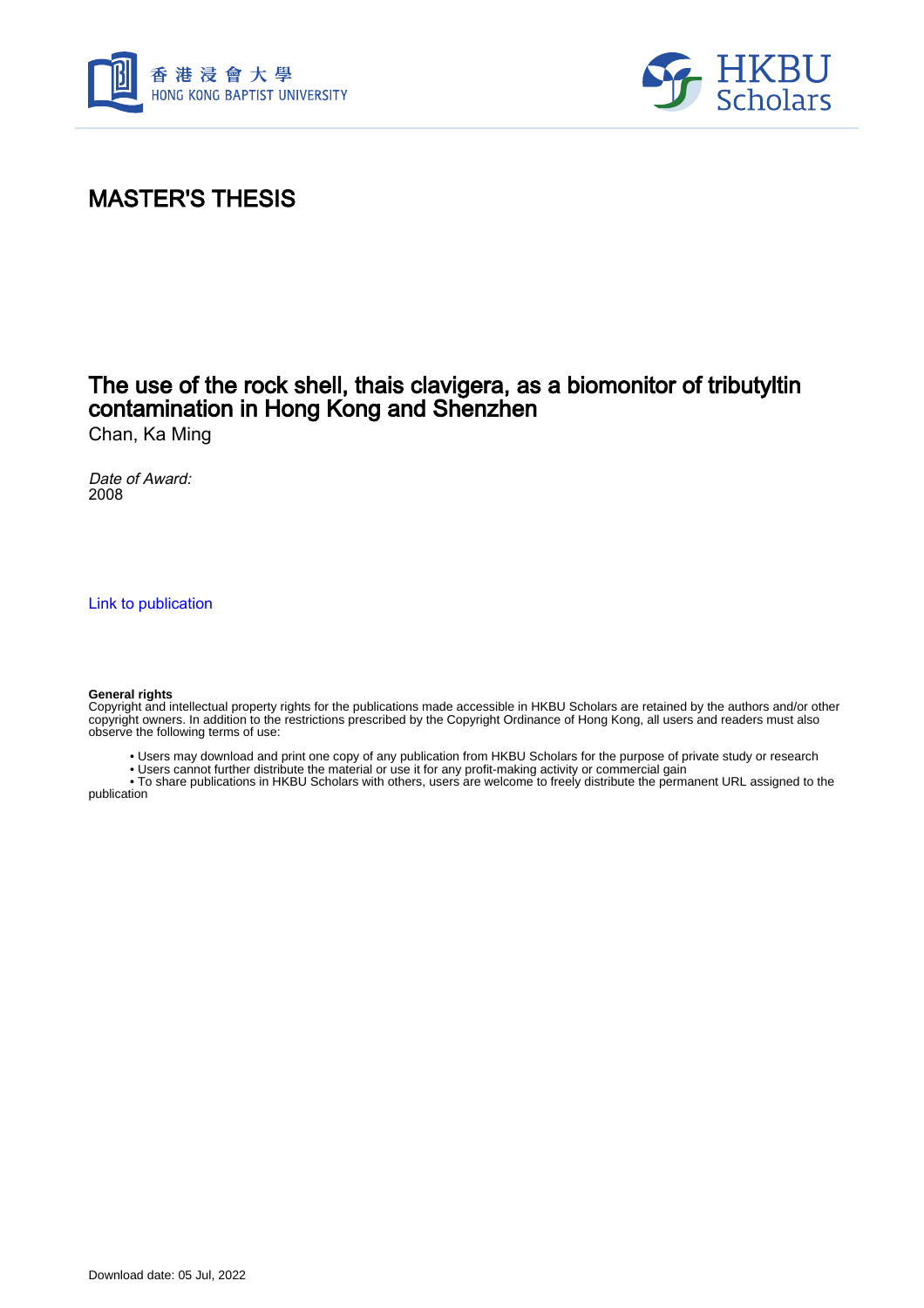



## MASTER'S THESIS

## The use of the rock shell, thais clavigera, as a biomonitor of tributyltin contamination in Hong Kong and Shenzhen

Chan, Ka Ming

Date of Award: 2008

[Link to publication](https://scholars.hkbu.edu.hk/en/studentTheses/d810dbf0-661e-40b8-8b2f-9994c51eae2f)

#### **General rights**

Copyright and intellectual property rights for the publications made accessible in HKBU Scholars are retained by the authors and/or other copyright owners. In addition to the restrictions prescribed by the Copyright Ordinance of Hong Kong, all users and readers must also observe the following terms of use:

- Users may download and print one copy of any publication from HKBU Scholars for the purpose of private study or research
- Users cannot further distribute the material or use it for any profit-making activity or commercial gain

 • To share publications in HKBU Scholars with others, users are welcome to freely distribute the permanent URL assigned to the publication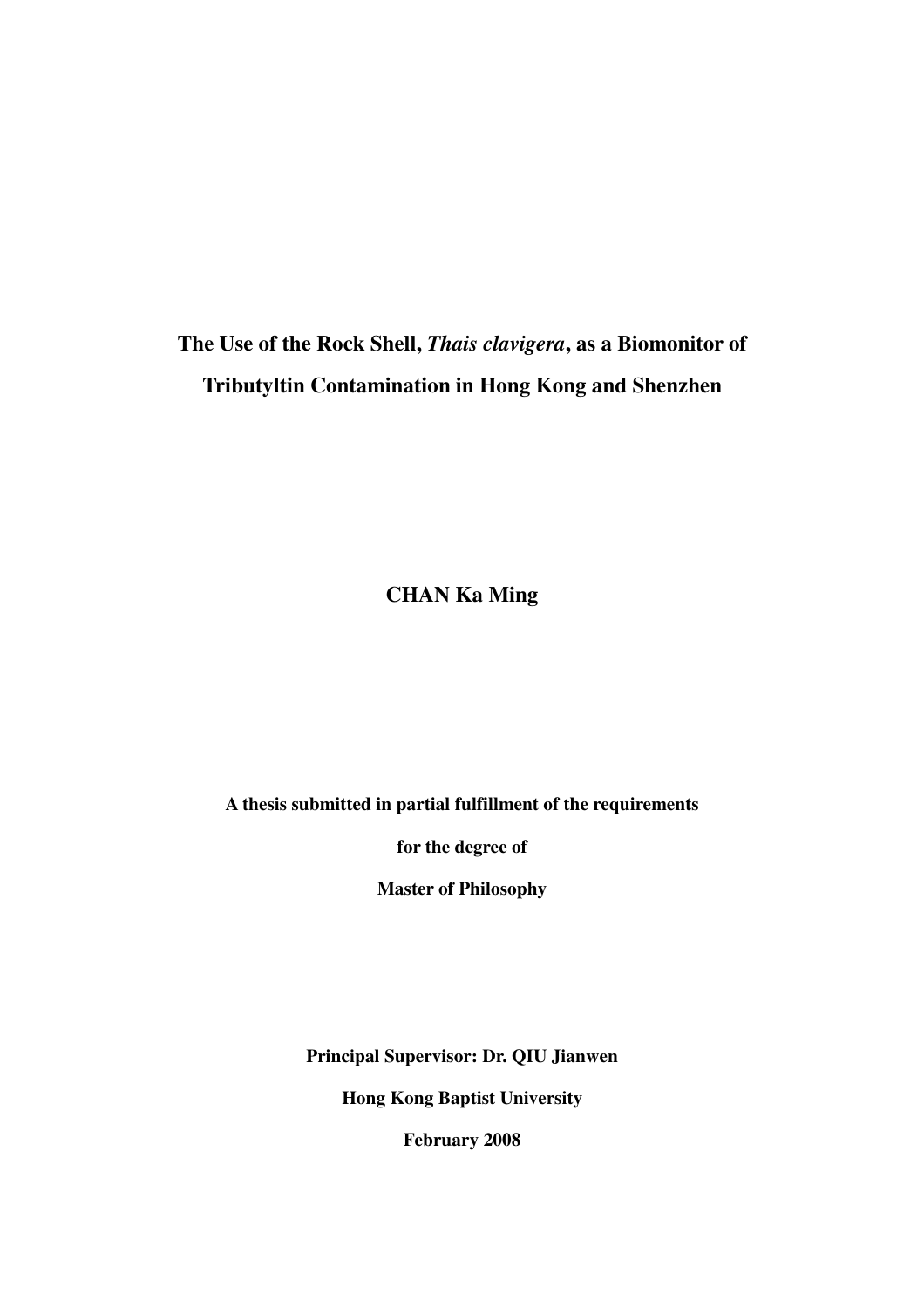# **The Use of the Rock Shell,** *Thais clavigera***, as a Biomonitor of Tributyltin Contamination in Hong Kong and Shenzhen**

**CHAN Ka Ming** 

**A thesis submitted in partial fulfillment of the requirements** 

**for the degree of** 

**Master of Philosophy** 

**Principal Supervisor: Dr. QIU Jianwen** 

**Hong Kong Baptist University** 

**February 2008**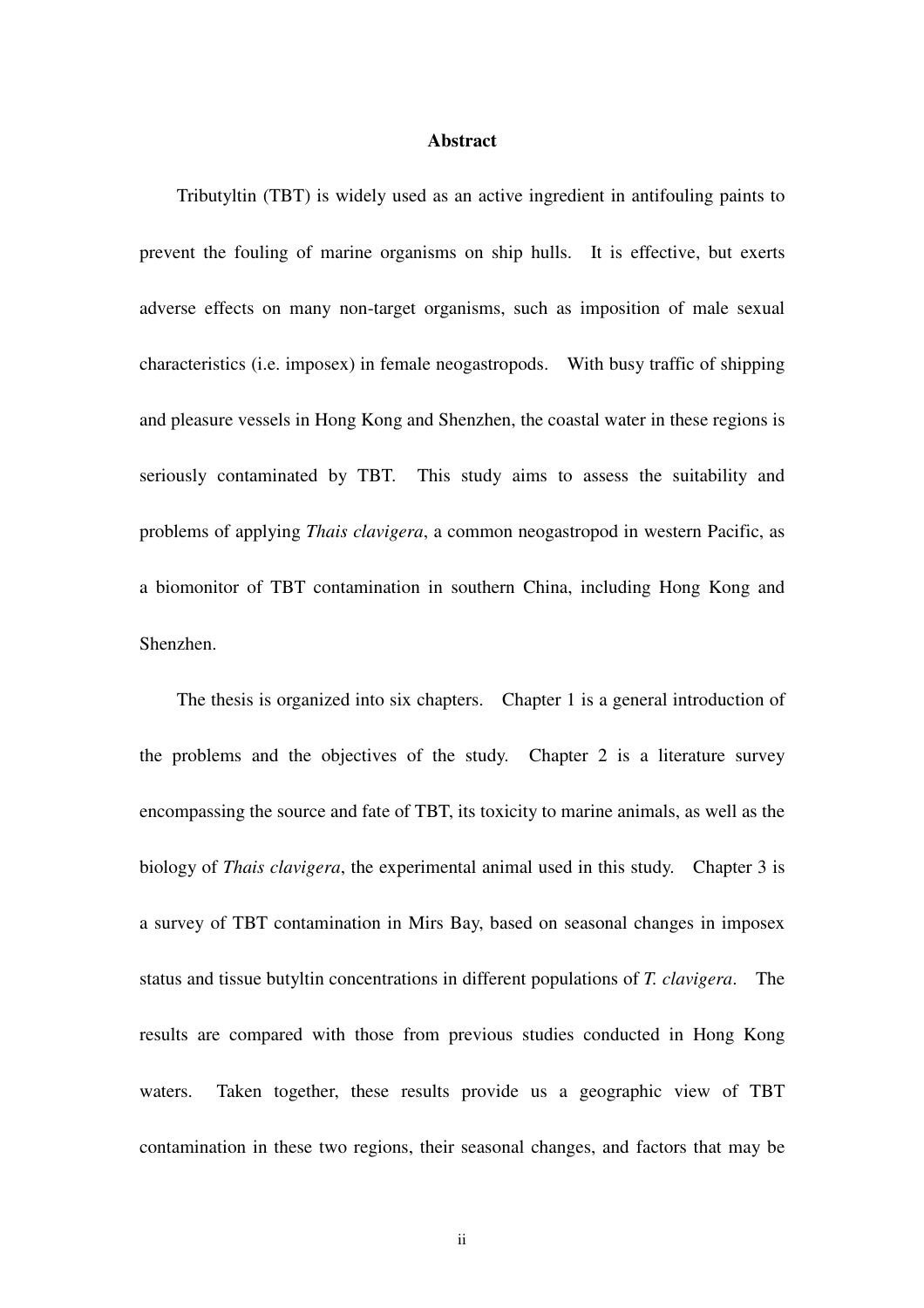### **Abstract**

Tributyltin (TBT) is widely used as an active ingredient in antifouling paints to prevent the fouling of marine organisms on ship hulls. It is effective, but exerts adverse effects on many non-target organisms, such as imposition of male sexual characteristics (i.e. imposex) in female neogastropods. With busy traffic of shipping and pleasure vessels in Hong Kong and Shenzhen, the coastal water in these regions is seriously contaminated by TBT. This study aims to assess the suitability and problems of applying *Thais clavigera*, a common neogastropod in western Pacific, as a biomonitor of TBT contamination in southern China, including Hong Kong and Shenzhen.

The thesis is organized into six chapters. Chapter 1 is a general introduction of the problems and the objectives of the study. Chapter 2 is a literature survey encompassing the source and fate of TBT, its toxicity to marine animals, as well as the biology of *Thais clavigera*, the experimental animal used in this study. Chapter 3 is a survey of TBT contamination in Mirs Bay, based on seasonal changes in imposex status and tissue butyltin concentrations in different populations of *T. clavigera*. The results are compared with those from previous studies conducted in Hong Kong waters. Taken together, these results provide us a geographic view of TBT contamination in these two regions, their seasonal changes, and factors that may be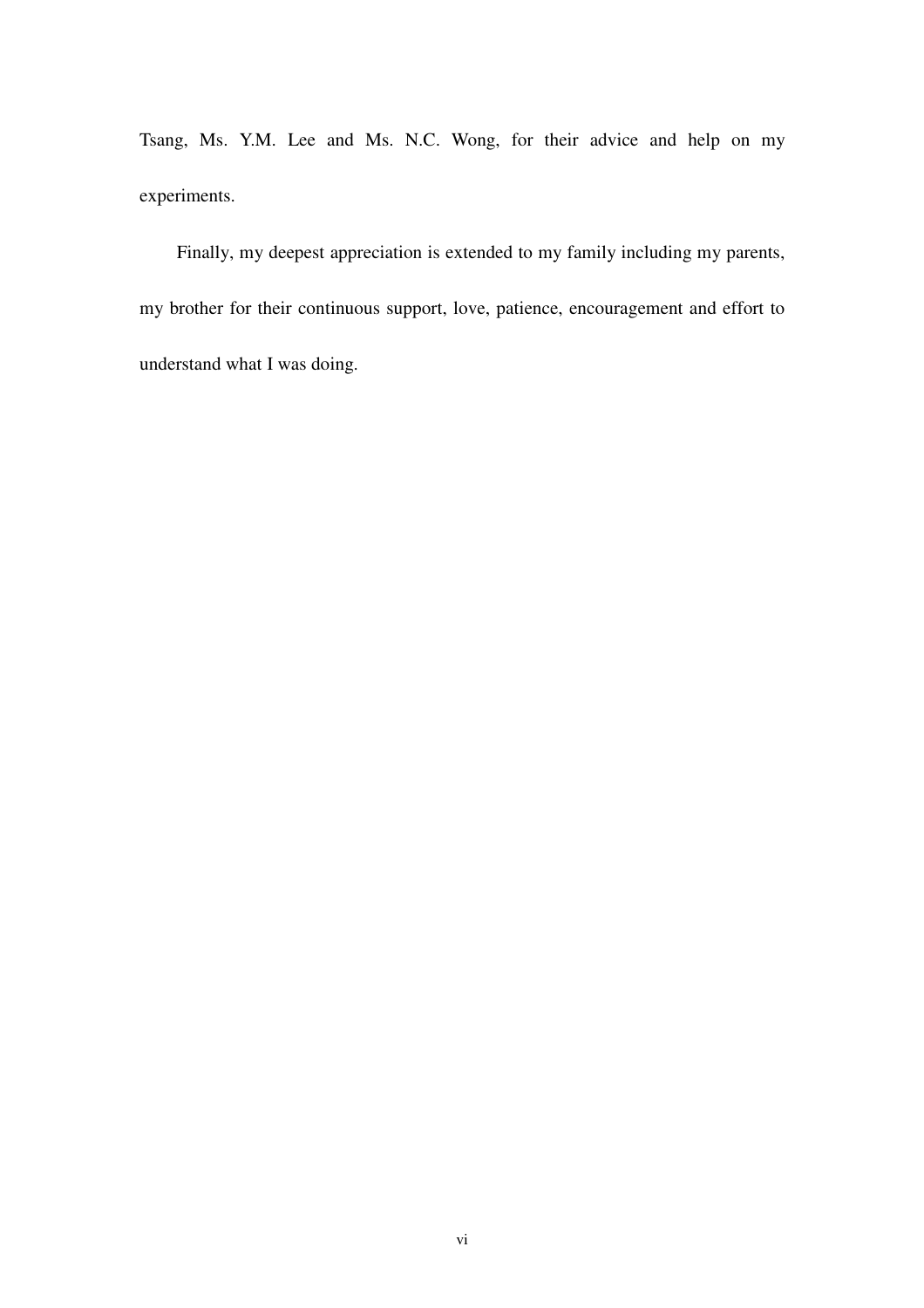Tsang, Ms. Y.M. Lee and Ms. N.C. Wong, for their advice and help on my experiments.

Finally, my deepest appreciation is extended to my family including my parents, my brother for their continuous support, love, patience, encouragement and effort to understand what I was doing.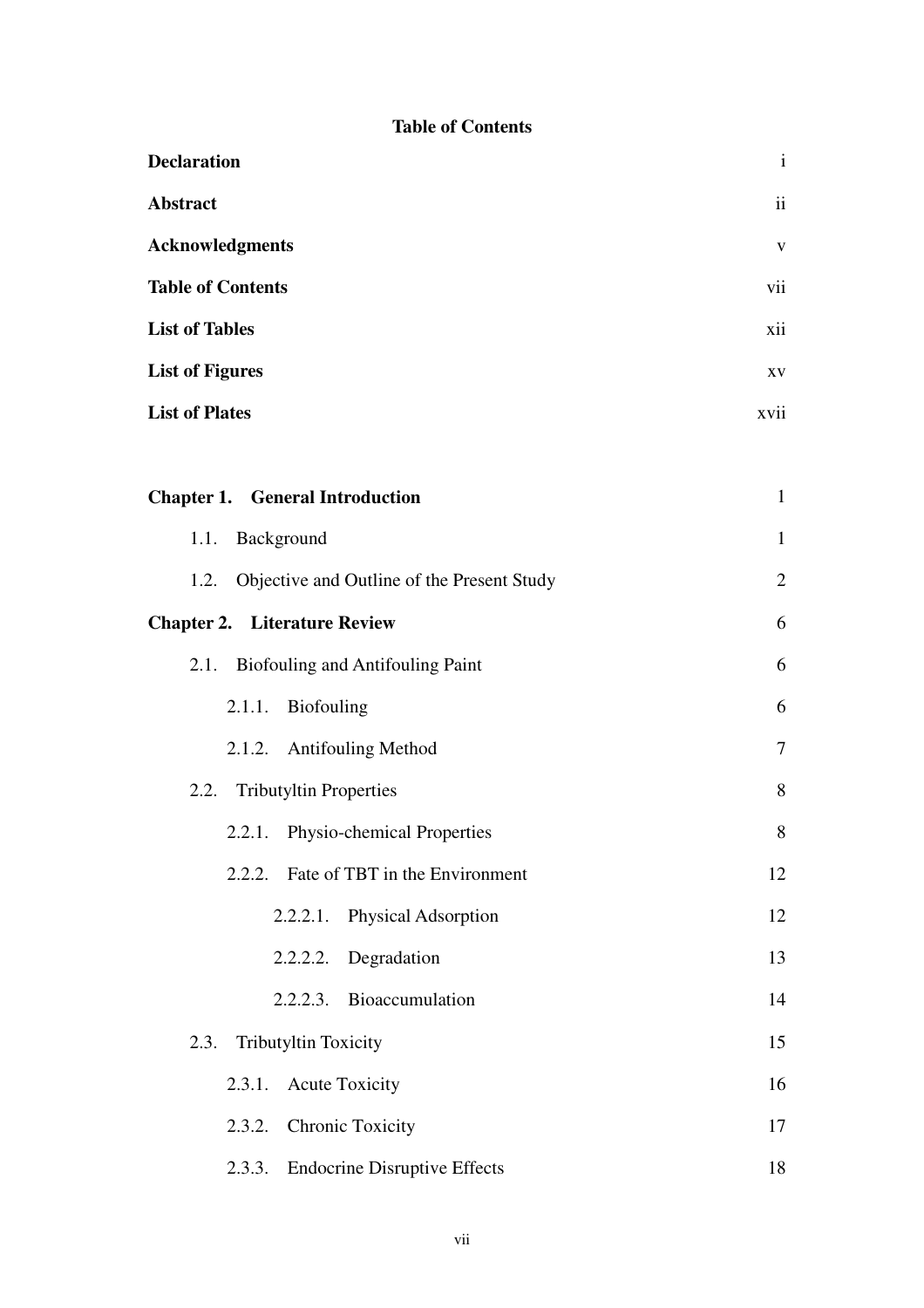### **Table of Contents**

| <b>Declaration</b>                                 |                |  |  |
|----------------------------------------------------|----------------|--|--|
| Abstract                                           |                |  |  |
| <b>Acknowledgments</b>                             |                |  |  |
| <b>Table of Contents</b>                           |                |  |  |
| <b>List of Tables</b>                              |                |  |  |
| <b>List of Figures</b>                             |                |  |  |
| <b>List of Plates</b>                              |                |  |  |
|                                                    |                |  |  |
| <b>Chapter 1. General Introduction</b>             | $\mathbf{1}$   |  |  |
| Background<br>1.1.                                 | $\mathbf{1}$   |  |  |
| Objective and Outline of the Present Study<br>1.2. | $\overline{2}$ |  |  |
| <b>Chapter 2. Literature Review</b>                | 6              |  |  |
| 2.1.<br>Biofouling and Antifouling Paint           | 6              |  |  |
| 2.1.1.<br><b>Biofouling</b>                        | 6              |  |  |
| 2.1.2. Antifouling Method                          | $\overline{7}$ |  |  |
| <b>Tributyltin Properties</b><br>2.2.              | 8              |  |  |
| 2.2.1. Physio-chemical Properties                  | 8              |  |  |
| 2.2.2. Fate of TBT in the Environment              | 12             |  |  |
| 2.2.2.1. Physical Adsorption                       | 12             |  |  |
| 2.2.2.2. Degradation                               | 13             |  |  |
| 2.2.2.3. Bioaccumulation                           | 14             |  |  |
| Tributyltin Toxicity<br>2.3.                       | 15             |  |  |
| 2.3.1. Acute Toxicity                              | 16             |  |  |
| 2.3.2. Chronic Toxicity                            | 17             |  |  |
| 2.3.3. Endocrine Disruptive Effects                | 18             |  |  |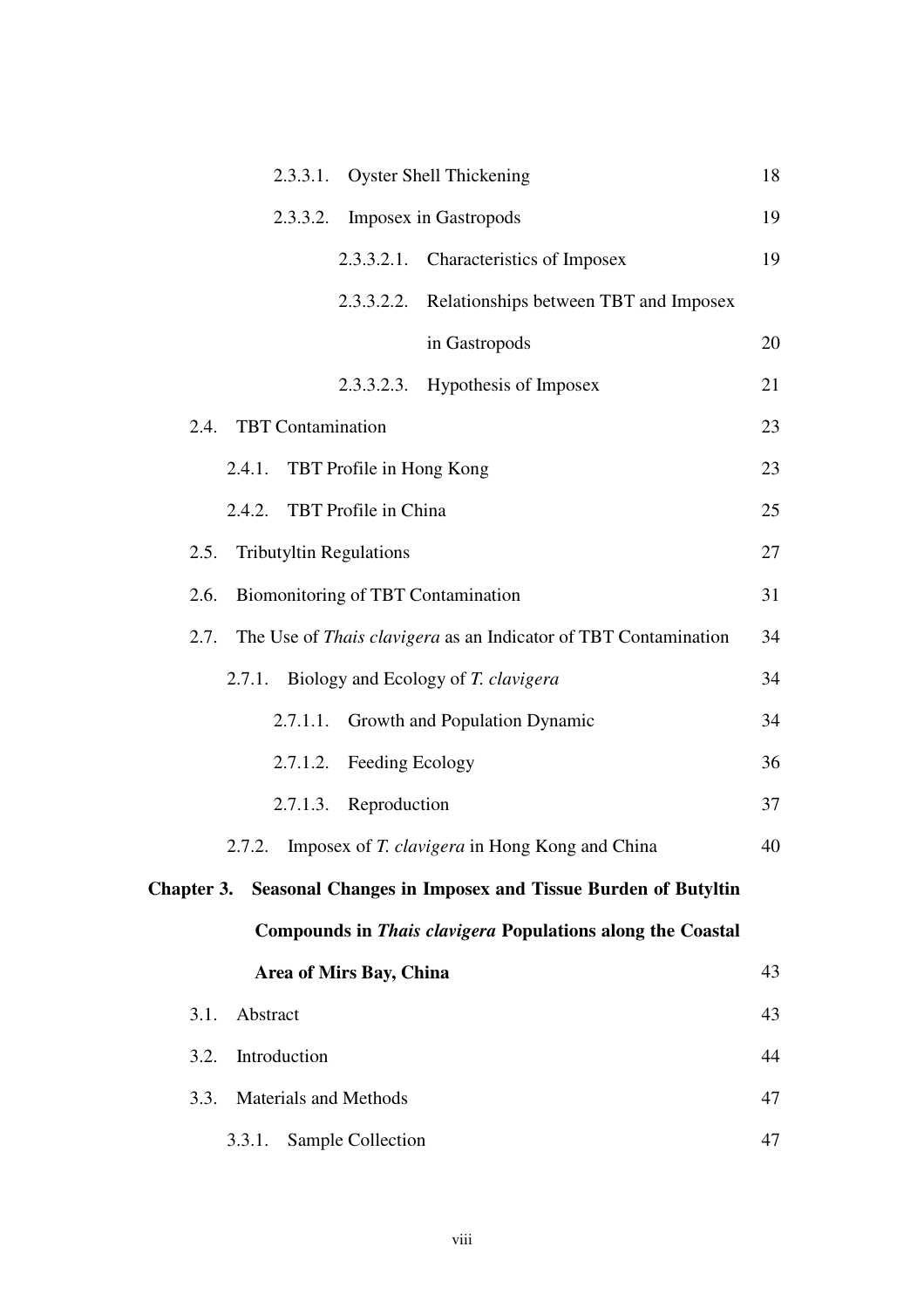| 2.3.3.1. Oyster Shell Thickening                                            | 18 |  |  |  |  |
|-----------------------------------------------------------------------------|----|--|--|--|--|
| 2.3.3.2. Imposex in Gastropods                                              | 19 |  |  |  |  |
| 2.3.3.2.1. Characteristics of Imposex                                       | 19 |  |  |  |  |
| 2.3.3.2.2. Relationships between TBT and Imposex                            |    |  |  |  |  |
| in Gastropods                                                               | 20 |  |  |  |  |
| 2.3.3.2.3. Hypothesis of Imposex                                            | 21 |  |  |  |  |
| 2.4. TBT Contamination                                                      | 23 |  |  |  |  |
| TBT Profile in Hong Kong<br>2.4.1.                                          | 23 |  |  |  |  |
| 2.4.2. TBT Profile in China                                                 | 25 |  |  |  |  |
| <b>Tributyltin Regulations</b><br>2.5.                                      | 27 |  |  |  |  |
| Biomonitoring of TBT Contamination<br>2.6.                                  | 31 |  |  |  |  |
| 2.7. The Use of <i>Thais clavigera</i> as an Indicator of TBT Contamination | 34 |  |  |  |  |
| 2.7.1. Biology and Ecology of T. clavigera                                  | 34 |  |  |  |  |
| Growth and Population Dynamic<br>2.7.1.1.                                   | 34 |  |  |  |  |
| 2.7.1.2. Feeding Ecology                                                    | 36 |  |  |  |  |
| 2.7.1.3. Reproduction                                                       | 37 |  |  |  |  |
| 2.7.2. Imposex of T. clavigera in Hong Kong and China                       | 40 |  |  |  |  |
| Chapter 3. Seasonal Changes in Imposex and Tissue Burden of Butyltin        |    |  |  |  |  |
| Compounds in Thais clavigera Populations along the Coastal                  |    |  |  |  |  |
| Area of Mirs Bay, China                                                     | 43 |  |  |  |  |
| Abstract<br>3.1.                                                            | 43 |  |  |  |  |
| Introduction<br>3.2.                                                        | 44 |  |  |  |  |
| Materials and Methods<br>3.3.                                               | 47 |  |  |  |  |
| Sample Collection<br>3.3.1.                                                 | 47 |  |  |  |  |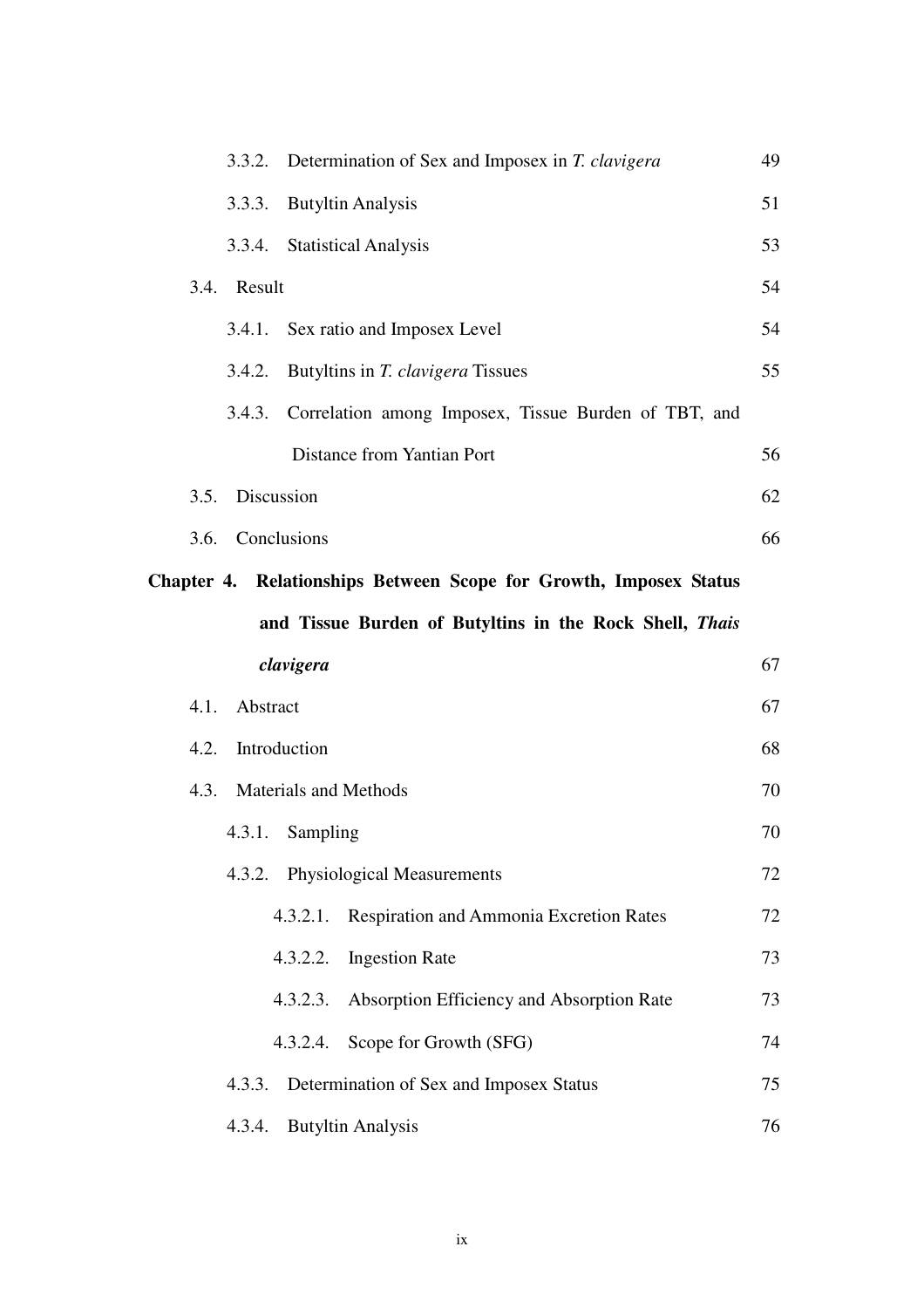|                             | 3.3.2. Determination of Sex and Imposex in T. clavigera           | 49 |  |  |
|-----------------------------|-------------------------------------------------------------------|----|--|--|
| 3.3.3.                      | <b>Butyltin Analysis</b>                                          | 51 |  |  |
| 3.3.4. Statistical Analysis |                                                                   | 53 |  |  |
| 3.4. Result                 |                                                                   |    |  |  |
|                             | 3.4.1. Sex ratio and Imposex Level                                | 54 |  |  |
| 3.4.2.                      | Butyltins in T. clavigera Tissues                                 | 55 |  |  |
| 3.4.3.                      | Correlation among Imposex, Tissue Burden of TBT, and              |    |  |  |
|                             | Distance from Yantian Port                                        | 56 |  |  |
| 3.5. Discussion             |                                                                   | 62 |  |  |
| 3.6. Conclusions            |                                                                   | 66 |  |  |
|                             | Chapter 4. Relationships Between Scope for Growth, Imposex Status |    |  |  |
|                             | and Tissue Burden of Butyltins in the Rock Shell, Thais           |    |  |  |
| clavigera                   |                                                                   | 67 |  |  |
| 4.1. Abstract               |                                                                   | 67 |  |  |
| 4.2. Introduction           |                                                                   |    |  |  |
| 4.3. Materials and Methods  |                                                                   | 70 |  |  |
| 4.3.1. Sampling             |                                                                   | 70 |  |  |
|                             | 4.3.2. Physiological Measurements                                 | 72 |  |  |
|                             | 4.3.2.1. Respiration and Ammonia Excretion Rates                  | 72 |  |  |
|                             | 4.3.2.2. Ingestion Rate                                           | 73 |  |  |
| 4.3.2.3.                    | Absorption Efficiency and Absorption Rate                         | 73 |  |  |
|                             | 4.3.2.4. Scope for Growth (SFG)                                   | 74 |  |  |
| 4.3.3.                      | Determination of Sex and Imposex Status                           | 75 |  |  |
|                             |                                                                   | 76 |  |  |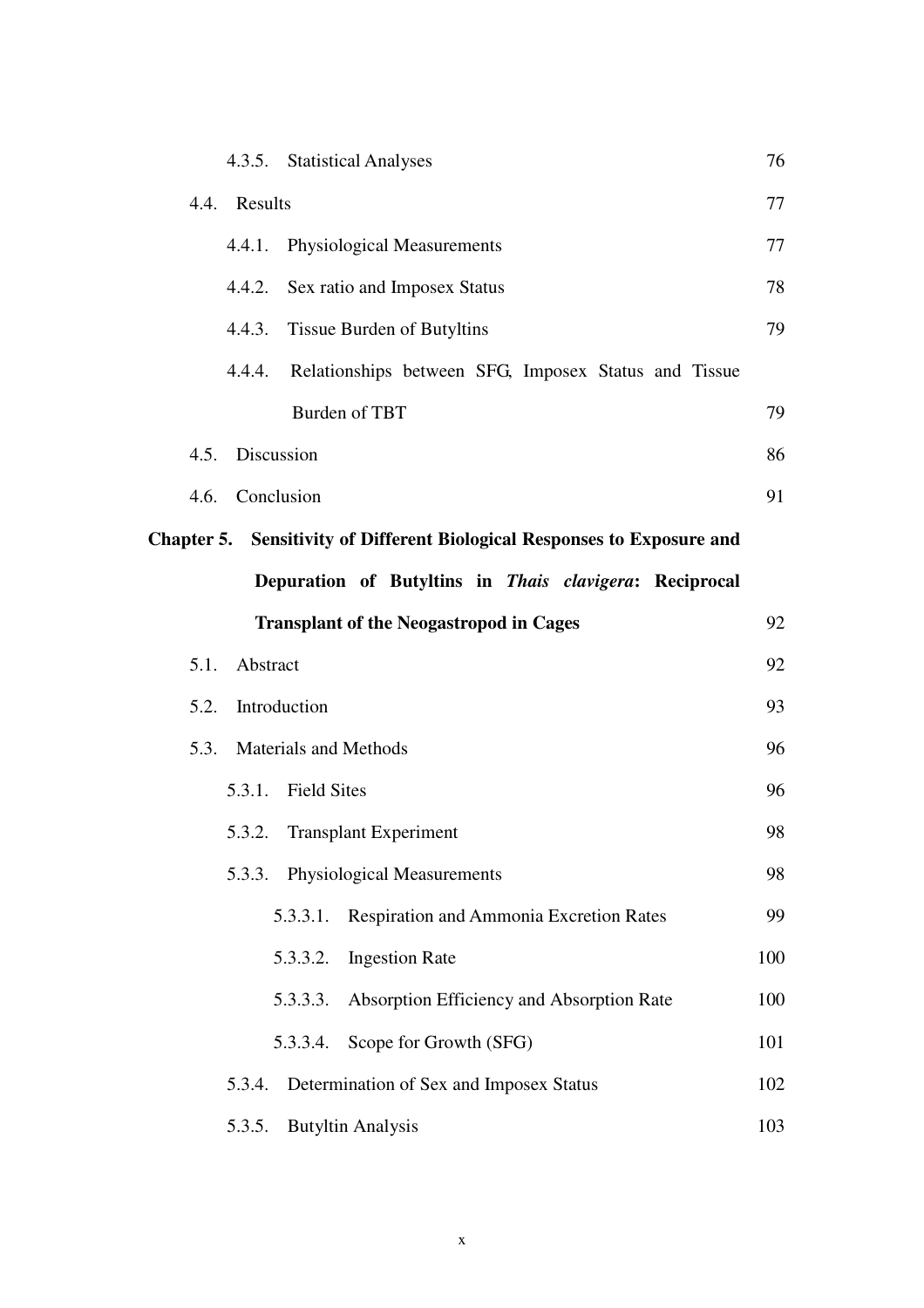|              |               |                            | 4.3.5. Statistical Analyses                                                     | 76  |
|--------------|---------------|----------------------------|---------------------------------------------------------------------------------|-----|
| 4.4. Results |               |                            |                                                                                 | 77  |
|              | 4.4.1.        |                            | <b>Physiological Measurements</b>                                               | 77  |
|              |               |                            | 4.4.2. Sex ratio and Imposex Status                                             | 78  |
|              | 4.4.3.        |                            | <b>Tissue Burden of Butyltins</b>                                               | 79  |
|              | 4.4.4.        |                            | Relationships between SFG, Imposex Status and Tissue                            |     |
|              |               |                            | Burden of TBT                                                                   | 79  |
|              |               | 4.5. Discussion            |                                                                                 | 86  |
|              |               | 4.6. Conclusion            |                                                                                 | 91  |
|              |               |                            | <b>Chapter 5.</b> Sensitivity of Different Biological Responses to Exposure and |     |
|              |               |                            | Depuration of Butyltins in Thais clavigera: Reciprocal                          |     |
|              |               |                            | <b>Transplant of the Neogastropod in Cages</b>                                  | 92  |
|              | 5.1. Abstract |                            |                                                                                 | 92  |
| 5.2.         |               | Introduction               |                                                                                 | 93  |
|              |               | 5.3. Materials and Methods |                                                                                 | 96  |
|              | 5.3.1.        | <b>Field Sites</b>         |                                                                                 | 96  |
|              |               |                            | 5.3.2. Transplant Experiment                                                    | 98  |
|              |               |                            | 5.3.3. Physiological Measurements                                               | 98  |
|              |               | 5.3.3.1.                   | Respiration and Ammonia Excretion Rates                                         | 99  |
|              |               | 5.3.3.2.                   | <b>Ingestion Rate</b>                                                           | 100 |
|              |               | 5.3.3.3.                   | Absorption Efficiency and Absorption Rate                                       | 100 |
|              |               | 5.3.3.4.                   | Scope for Growth (SFG)                                                          | 101 |
|              | 5.3.4.        |                            | Determination of Sex and Imposex Status                                         | 102 |
|              | 5.3.5.        |                            | <b>Butyltin Analysis</b>                                                        | 103 |
|              |               |                            |                                                                                 |     |